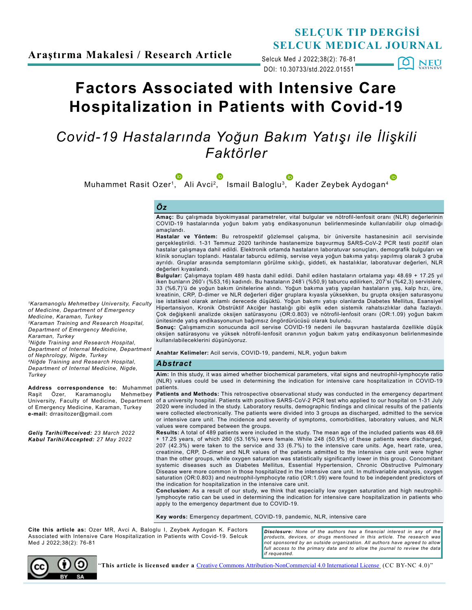

DOI: 10.30733/std.2022.01551 Selcuk Med J 2022;38(2): 76-81

. [0] **NEU** 

# **Factors Associated with Intensive Care Hospitalization in Patients with Covid-19**

## *Covid-19 Hastalarında Yoğun Bakım Yatışı ile İlişkili Faktörler*

Muhammet Rasit Ozer[1,](http://orcid.org/0000-0002-4670-2476) Ali Avci[2,](http://orcid.org/0000-0002-7019-1012) Ismail Baloglu[3,](http://orcid.org/0000-0002-8751-5490) Kader Zeybek Aydogan[4](http://orcid.org/0000-0002-9331-9349)

#### *Öz*

**Amaç:** Bu çalışmada biyokimyasal parametreler, vital bulgular ve nötrofil-lenfosit oranı (NLR) değerlerinin COVID-19 hastalarında yoğun bakım yatış endikasyonunun belirlenmesinde kullanılabilir olup olmadığı amaçlandı.

**Hastalar ve Yöntem:** Bu retrospektif gözlemsel çalışma, bir üniversite hastanesinin acil servisinde gerçekleştirildi. 1-31 Temmuz 2020 tarihinde hastanemize başvurmuş SARS-CoV-2 PCR testi pozitif olan hastalar çalışmaya dahil edildi. Elektronik ortamda hastaların laboratuvar sonuçları, demografik bulguları ve klinik sonuçları toplandı. Hastalar taburcu edilmiş, servise veya yoğun bakıma yatışı yapılmış olarak 3 gruba ayrıldı. Gruplar arasında semptomların görülme sıklığı, şiddeti, ek hastalıklar, laboratuvar değerleri, NLR değerleri kıyaslandı.

**Bulgular:** Çalışmaya toplam 489 hasta dahil edildi. Dahil edilen hastaların ortalama yaşı 48.69 + 17.25 yıl iken bunların 260'ı (%53,16) kadındı. Bu hastaların 248'i (%50,9) taburcu edilirken, 207'si (%42,3) servislere, 33 (%6,7)'ü de yoğun bakım ünitelerine alındı. Yoğun bakıma yatış yapılan hastaların yaş, kalp hızı, üre, kreatinin, CRP, D-dimer ve NLR değerleri diğer gruplara kıyasla yüksekken, bu grupta oksijen saturasyonu ise istatiksel olarak anlamlı derecede düşüktü. Yoğun bakımı yatışı olanlarda Diabetes Mellitus, Esansiyel Hipertansiyon, Kronik Obstrüktif Akciğer hastalığı gibi eşlik eden sistemik rahatsızlıklar daha fazlaydı. Çok değişkenli analizde oksijen satürasyonu (OR:0.803) ve nötrofil-lenfosit oranı (OR:1.09) yoğun bakım ünitesinde yatış endikasyonunun bağımsız öngördürücüsü olarak bulundu.

**Sonuç:** Çalışmamızın sonucunda acil servise COVID-19 nedeni ile başvuran hastalarda özellikle düşük oksijen satürasyonu ve yüksek nötrofil-lenfosit oranının yoğun bakım yatış endikasyonun belirlenmesinde kullanılabileceklerini düşünüyoruz.

**Anahtar Kelimeler:** Acil servis, COVID-19, pandemi, NLR, yoğun bakım

#### *Abstract*

**Aim:** In this study, it was aimed whether biochemical parameters, vital signs and neutrophil-lymphocyte ratio (NLR) values could be used in determining the indication for intensive care hospitalization in COVID-19 patients.

**Patients and Methods:** This retrospective observational study was conducted in the emergency department of a university hospital. Patients with positive SARS-CoV-2 PCR test who applied to our hospital on 1-31 July 2020 were included in the study. Laboratory results, demographic findings and clinical results of the patients were collected electronically. The patients were divided into 3 groups as discharged, admitted to the service or intensive care unit. The incidence and severity of symptoms, comorbidities, laboratory values, and NLR values were compared between the groups.

**Results:** A total of 489 patients were included in the study. The mean age of the included patients was 48.69 + 17.25 years, of which 260 (53.16%) were female. While 248 (50.9%) of these patients were discharged, 207 (42.3%) were taken to the service and 33 (6.7%) to the intensive care units. Age, heart rate, urea, creatinine, CRP, D-dimer and NLR values of the patients admitted to the intensive care unit were higher than the other groups, while oxygen saturation was statistically significantly lower in this group. Concomitant systemic diseases such as Diabetes Mellitus, Essential Hypertension, Chronic Obstructive Pulmonary Disease were more common in those hospitalized in the intensive care unit. In multivariable analysis, oxygen saturation (OR:0.803) and neutrophil-lymphocyte ratio (OR:1.09) were found to be independent predictors of the indication for hospitalization in the intensive care unit.

**Conclusion:** As a result of our study, we think that especially low oxygen saturation and high neutrophillymphocyte ratio can be used in determining the indication for intensive care hospitalization in patients who apply to the emergency department due to COVID-19.

**Key words:** Emergency department, COVID-19, pandemic, NLR, intensive care

**Cite this article as:** Ozer MR, Avci A, Baloglu I, Zeybek Aydogan K. Factors Associated with Intensive Care Hospitalization in Patients with Covid-19. Selcuk Med J 2022;38(2): 76-81

*Disclosure: None of the authors has a financial interest in any of the products, devices, or drugs mentioned in this article. The research was not sponsored by an outside organization. All authors have agreed to allow*  full access to the primary data and to allow the journal to review the data *if requested.*



"**This article is licensed under a** [Creative Commons Attribution-NonCommercial 4.0 International License](https://creativecommons.org/licenses/by-nc/4.0/) (CC BY-NC 4.0)"

*1Karamanoglu Mehmetbey University, Faculty of Medicine, Department of Emergency Medicine, Karaman, Turkey*

*2Karaman Training and Research Hospital, Department of Emergency Medicine, Karaman, Turkey*

*<sup>3</sup>Niğde Training and Research Hospital, Department of Internal Medicine, Department* 

*of Nephrology, Nigde, Turkey <sup>4</sup>Niğde Training and Research Hospital,* 

*Department of Internal Medicine, Nigde, Turkey*

**Address correspondence to:** Muhammet Raşit Özer, Karamanoglu University, Faculty of Medicine, Department of Emergency Medicine, Karaman, Turkey **e-mail:** drrasitozer@gmail.com

*Geliş Tarihi/Received: 23 March 2022 Kabul Tarihi/Accepted: 27 May 2022*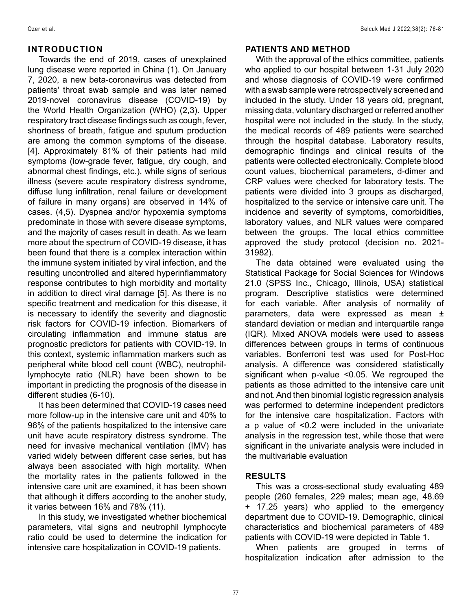## **INTRODUCTION**

Towards the end of 2019, cases of unexplained lung disease were reported in China (1). On January 7, 2020, a new beta-coronavirus was detected from patients' throat swab sample and was later named 2019-novel coronavirus disease (COVID-19) by the World Health Organization (WHO) (2,3). Upper respiratory tract disease findings such as cough, fever, shortness of breath, fatigue and sputum production are among the common symptoms of the disease. [4]. Approximately 81% of their patients had mild symptoms (low-grade fever, fatigue, dry cough, and abnormal chest findings, etc.), while signs of serious illness (severe acute respiratory distress syndrome, diffuse lung infiltration, renal failure or development of failure in many organs) are observed in 14% of cases. (4,5). Dyspnea and/or hypoxemia symptoms predominate in those with severe disease symptoms, and the majority of cases result in death. As we learn more about the spectrum of COVID-19 disease, it has been found that there is a complex interaction within the immune system initiated by viral infection, and the resulting uncontrolled and altered hyperinflammatory response contributes to high morbidity and mortality in addition to direct viral damage [5]. As there is no specific treatment and medication for this disease, it is necessary to identify the severity and diagnostic risk factors for COVID-19 infection. Biomarkers of circulating inflammation and immune status are prognostic predictors for patients with COVID-19. In this context, systemic inflammation markers such as peripheral white blood cell count (WBC), neutrophillymphocyte ratio (NLR) have been shown to be important in predicting the prognosis of the disease in different studies (6-10).

It has been determined that COVID-19 cases need more follow-up in the intensive care unit and 40% to 96% of the patients hospitalized to the intensive care unit have acute respiratory distress syndrome. The need for invasive mechanical ventilation (IMV) has varied widely between different case series, but has always been associated with high mortality. When the mortality rates in the patients followed in the intensive care unit are examined, it has been shown that although it differs according to the anoher study, it varies between 16% and 78% (11).

In this study, we investigated whether biochemical parameters, vital signs and neutrophil lymphocyte ratio could be used to determine the indication for intensive care hospitalization in COVID-19 patients.

#### **PATIENTS AND METHOD**

With the approval of the ethics committee, patients who applied to our hospital between 1-31 July 2020 and whose diagnosis of COVID-19 were confirmed with a swab sample were retrospectively screened and included in the study. Under 18 years old, pregnant, missing data, voluntary discharged or referred another hospital were not included in the study. In the study, the medical records of 489 patients were searched through the hospital database. Laboratory results, demographic findings and clinical results of the patients were collected electronically. Complete blood count values, biochemical parameters, d-dimer and CRP values were checked for laboratory tests. The patients were divided into 3 groups as discharged, hospitalized to the service or intensive care unit. The incidence and severity of symptoms, comorbidities, laboratory values, and NLR values were compared between the groups. The local ethics committee approved the study protocol (decision no. 2021- 31982).

The data obtained were evaluated using the Statistical Package for Social Sciences for Windows 21.0 (SPSS Inc., Chicago, Illinois, USA) statistical program. Descriptive statistics were determined for each variable. After analysis of normality of parameters, data were expressed as mean ± standard deviation or median and interquartile range (IQR). Mixed ANOVA models were used to assess differences between groups in terms of continuous variables. Bonferroni test was used for Post-Hoc analysis. A difference was considered statistically significant when p-value <0.05. We regrouped the patients as those admitted to the intensive care unit and not. And then binomial logistic regression analysis was performed to determine independent predictors for the intensive care hospitalization. Factors with a p value of <0.2 were included in the univariate analysis in the regression test, while those that were significant in the univariate analysis were included in the multivariable evaluation

## **RESULTS**

This was a cross-sectional study evaluating 489 people (260 females, 229 males; mean age, 48.69 + 17.25 years) who applied to the emergency department due to COVID-19. Demographic, clinical characteristics and biochemical parameters of 489 patients with COVID-19 were depicted in Table 1.

When patients are grouped in terms of hospitalization indication after admission to the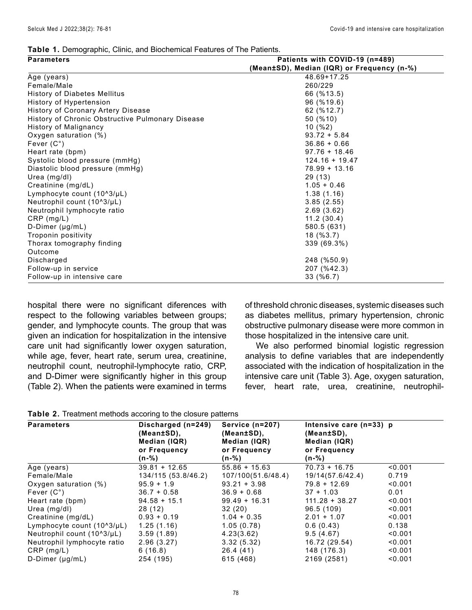#### **Table 1.** Demographic, Clinic, and Biochemical Features of The Patients.

| <b>Parameters</b>                                | Patients with COVID-19 (n=489)             |  |  |
|--------------------------------------------------|--------------------------------------------|--|--|
|                                                  | (Mean±SD), Median (IQR) or Frequency (n-%) |  |  |
| Age (years)                                      | 48.69+17.25                                |  |  |
| Female/Male                                      | 260/229                                    |  |  |
| History of Diabetes Mellitus                     | 66 (%13.5)                                 |  |  |
| History of Hypertension                          | 96 (%19.6)                                 |  |  |
| History of Coronary Artery Disease               | 62 (%12.7)                                 |  |  |
| History of Chronic Obstructive Pulmonary Disease | 50 (%10)                                   |  |  |
| History of Malignancy                            | 10(%2)                                     |  |  |
| Oxygen saturation (%)                            | $93.72 + 5.84$                             |  |  |
| Fever $(C^{\circ})$                              | $36.86 + 0.66$                             |  |  |
| Heart rate (bpm)                                 | $97.76 + 18.46$                            |  |  |
| Systolic blood pressure (mmHg)                   | $124.16 + 19.47$                           |  |  |
| Diastolic blood pressure (mmHg)                  | $78.99 + 13.16$                            |  |  |
| Urea (mg/dl)                                     | 29 (13)                                    |  |  |
| Creatinine (mg/dL)                               | $1.05 + 0.46$                              |  |  |
| Lymphocyte count (10^3/µL)                       | 1.38(1.16)                                 |  |  |
| Neutrophil count (10^3/µL)                       | 3.85(2.55)                                 |  |  |
| Neutrophil lymphocyte ratio                      | 2.69(3.62)                                 |  |  |
| $CRP$ (mg/L)                                     | 11.2(30.4)                                 |  |  |
| D-Dimer (µg/mL)                                  | 580.5 (631)                                |  |  |
| Troponin positivity                              | 18 (%3.7)                                  |  |  |
| Thorax tomography finding                        | 339 (69.3%)                                |  |  |
| Outcome                                          |                                            |  |  |
| Discharged                                       | 248 (%50.9)                                |  |  |
| Follow-up in service                             | 207 (%42.3)                                |  |  |
| Follow-up in intensive care                      | 33 (%6.7)                                  |  |  |

hospital there were no significant diferences with respect to the following variables between groups; gender, and lymphocyte counts. The group that was given an indication for hospitalization in the intensive care unit had significantly lower oxygen saturation, while age, fever, heart rate, serum urea, creatinine, neutrophil count, neutrophil-lymphocyte ratio, CRP, and D-Dimer were significantly higher in this group (Table 2). When the patients were examined in terms

of threshold chronic diseases, systemic diseases such as diabetes mellitus, primary hypertension, chronic obstructive pulmonary disease were more common in those hospitalized in the intensive care unit.

We also performed binomial logistic regression analysis to define variables that are independently associated with the indication of hospitalization in the intensive care unit (Table 3). Age, oxygen saturation, fever, heart rate, urea, creatinine, neutrophil-

**Table 2.** Treatment methods accoring to the closure patterns

| <b>Parameters</b>                | Discharged (n=249)<br>(Mean±SD),<br>Median (IQR) | Service (n=207)<br>(Mean±SD),<br>Median (IQR) | Intensive care $(n=33)$ p<br>(Mean±SD),<br>Median (IQR) |         |
|----------------------------------|--------------------------------------------------|-----------------------------------------------|---------------------------------------------------------|---------|
|                                  | or Frequency<br>$(n - %)$                        | or Frequency<br>$(n - %)$                     | or Frequency<br>$(n - %)$                               |         |
| Age (years)                      | $39.81 + 12.65$                                  | $55.86 + 15.63$                               | $70.73 + 16.75$                                         | < 0.001 |
| Female/Male                      | 134/115 (53.8/46.2)                              | 107/100(51.6/48.4)                            | 19/14(57.6/42.4)                                        | 0.719   |
| Oxygen saturation (%)            | $95.9 + 1.9$                                     | $93.21 + 3.98$                                | $79.8 + 12.69$                                          | < 0.001 |
| Fever $(C^{\circ})$              | $36.7 + 0.58$                                    | $36.9 + 0.68$                                 | $37 + 1.03$                                             | 0.01    |
| Heart rate (bpm)                 | $94.58 + 15.1$                                   | $99.49 + 16.31$                               | $111.28 + 38.27$                                        | < 0.001 |
| Urea (mg/dl)                     | 28 (12)                                          | 32(20)                                        | 96.5 (109)                                              | < 0.001 |
| Creatinine (mg/dL)               | $0.93 + 0.19$                                    | $1.04 + 0.35$                                 | $2.01 + 1.07$                                           | < 0.001 |
| Lymphocyte count $(10^83/\mu L)$ | 1.25(1.16)                                       | 1.05(0.78)                                    | 0.6(0.43)                                               | 0.138   |
| Neutrophil count (10^3/µL)       | 3.59(1.89)                                       | 4.23(3.62)                                    | 9.5(4.67)                                               | < 0.001 |
| Neutrophil lymphocyte ratio      | 2.96(3.27)                                       | 3.32(5.32)                                    | 16.72 (29.54)                                           | < 0.001 |
| $CRP$ (mg/L)                     | 6(16.8)                                          | 26.4(41)                                      | 148 (176.3)                                             | < 0.001 |
| $D$ -Dimer ( $\mu$ g/mL)         | 254 (195)                                        | 615 (468)                                     | 2169 (2581)                                             | < 0.001 |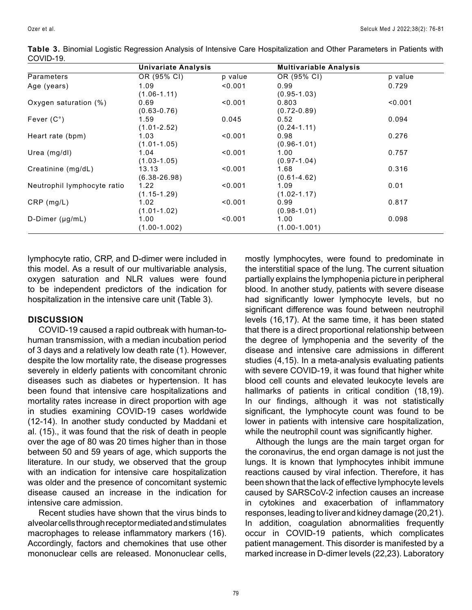|                             | Univariate Analysis |         | <b>Multivariable Analysis</b> |         |
|-----------------------------|---------------------|---------|-------------------------------|---------|
| Parameters                  | OR (95% CI)         | p value | OR (95% CI)                   | p value |
| Age (years)                 | 1.09                | < 0.001 | 0.99                          | 0.729   |
|                             | $(1.06 - 1.11)$     |         | $(0.95 - 1.03)$               |         |
| Oxygen saturation (%)       | 0.69                | < 0.001 | 0.803                         | < 0.001 |
|                             | $(0.63 - 0.76)$     |         | $(0.72 - 0.89)$               |         |
| Fever $(C^{\circ})$         | 1.59                | 0.045   | 0.52                          | 0.094   |
|                             | (1.01-2.52)         |         | $(0.24 - 1.11)$               |         |
| Heart rate (bpm)            | 1.03                | < 0.001 | 0.98                          | 0.276   |
|                             | $(1.01 - 1.05)$     |         | $(0.96 - 1.01)$               |         |
| Urea $(mg/dl)$              | 1.04                | < 0.001 | 1.00                          | 0.757   |
|                             | $(1.03 - 1.05)$     |         | $(0.97 - 1.04)$               |         |
| Creatinine (mg/dL)          | 13.13               | < 0.001 | 1.68                          | 0.316   |
|                             | $(6.38 - 26.98)$    |         | $(0.61 - 4.62)$               |         |
| Neutrophil lymphocyte ratio | 1.22                | < 0.001 | 1.09                          | 0.01    |
|                             | (1.15-1.29)         |         | $(1.02 - 1.17)$               |         |
| $CRP$ (mg/L)                | 1.02                | < 0.001 | 0.99                          | 0.817   |
|                             | $(1.01 - 1.02)$     |         | $(0.98 - 1.01)$               |         |
| $D$ -Dimer ( $\mu$ g/mL)    | 1.00                | < 0.001 | 1.00                          | 0.098   |
|                             | $(1.00-1.002)$      |         | $(1.00 - 1.001)$              |         |

**Table 3.** Binomial Logistic Regression Analysis of Intensive Care Hospitalization and Other Parameters in Patients with COVID-19.

lymphocyte ratio, CRP, and D-dimer were included in this model. As a result of our multivariable analysis, oxygen saturation and NLR values were found to be independent predictors of the indication for hospitalization in the intensive care unit (Table 3).

## **DISCUSSION**

COVID-19 caused a rapid outbreak with human-tohuman transmission, with a median incubation period of 3 days and a relatively low death rate (1). However, despite the low mortality rate, the disease progresses severely in elderly patients with concomitant chronic diseases such as diabetes or hypertension. It has been found that intensive care hospitalizations and mortality rates increase in direct proportion with age in studies examining COVID-19 cases worldwide (12-14). In another study conducted by Maddani et al. (15)., it was found that the risk of death in people over the age of 80 was 20 times higher than in those between 50 and 59 years of age, which supports the literature. In our study, we observed that the group with an indication for intensive care hospitalization was older and the presence of concomitant systemic disease caused an increase in the indication for intensive care admission.

Recent studies have shown that the virus binds to alveolar cells through receptor mediated and stimulates macrophages to release inflammatory markers (16). Accordingly, factors and chemokines that use other mononuclear cells are released. Mononuclear cells, mostly lymphocytes, were found to predominate in the interstitial space of the lung. The current situation partially explains the lymphopenia picture in peripheral blood. In another study, patients with severe disease had significantly lower lymphocyte levels, but no significant difference was found between neutrophil levels (16,17). At the same time, it has been stated that there is a direct proportional relationship between the degree of lymphopenia and the severity of the disease and intensive care admissions in different studies (4,15). In a meta-analysis evaluating patients with severe COVID-19, it was found that higher white blood cell counts and elevated leukocyte levels are hallmarks of patients in critical condition (18,19). In our findings, although it was not statistically significant, the lymphocyte count was found to be lower in patients with intensive care hospitalization, while the neutrophil count was significantly higher.

Although the lungs are the main target organ for the coronavirus, the end organ damage is not just the lungs. It is known that lymphocytes inhibit immune reactions caused by viral infection. Therefore, it has been shown that the lack of effective lymphocyte levels caused by SARSCoV-2 infection causes an increase in cytokines and exacerbation of inflammatory responses, leading to liver and kidney damage (20,21). In addition, coagulation abnormalities frequently occur in COVID-19 patients, which complicates patient management. This disorder is manifested by a marked increase in D-dimer levels (22,23). Laboratory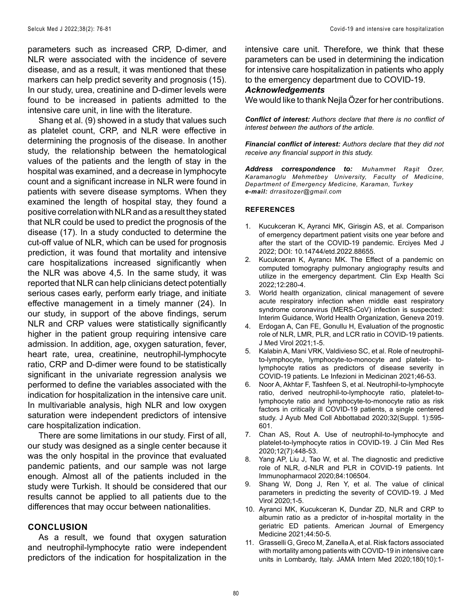parameters such as increased CRP, D-dimer, and NLR were associated with the incidence of severe disease, and as a result, it was mentioned that these markers can help predict severity and prognosis (15). In our study, urea, creatinine and D-dimer levels were found to be increased in patients admitted to the intensive care unit, in line with the literature.

Shang et al. (9) showed in a study that values such as platelet count, CRP, and NLR were effective in determining the prognosis of the disease. In another study, the relationship between the hematological values of the patients and the length of stay in the hospital was examined, and a decrease in lymphocyte count and a significant increase in NLR were found in patients with severe disease symptoms. When they examined the length of hospital stay, they found a positive correlation with NLR and as a result they stated that NLR could be used to predict the prognosis of the disease (17). In a study conducted to determine the cut-off value of NLR, which can be used for prognosis prediction, it was found that mortality and intensive care hospitalizations increased significantly when the NLR was above 4,5. In the same study, it was reported that NLR can help clinicians detect potentially serious cases early, perform early triage, and initiate effective management in a timely manner (24). In our study, in support of the above findings, serum NLR and CRP values were statistically significantly higher in the patient group requiring intensive care admission. In addition, age, oxygen saturation, fever, heart rate, urea, creatinine, neutrophil-lymphocyte ratio, CRP and D-dimer were found to be statistically significant in the univariate regression analysis we performed to define the variables associated with the indication for hospitalization in the intensive care unit. In multivariable analysis, high NLR and low oxygen saturation were independent predictors of intensive care hospitalization indication.

There are some limitations in our study. First of all, our study was designed as a single center because it was the only hospital in the province that evaluated pandemic patients, and our sample was not large enough. Almost all of the patients included in the study were Turkish. It should be considered that our results cannot be applied to all patients due to the differences that may occur between nationalities.

### **CONCLUSION**

As a result, we found that oxygen saturation and neutrophil-lymphocyte ratio were independent predictors of the indication for hospitalization in the intensive care unit. Therefore, we think that these parameters can be used in determining the indication for intensive care hospitalization in patients who apply to the emergency department due to COVID-19.

### *Acknowledgements*

We would like to thank Nejla Özer for her contributions.

*Conflict of interest: Authors declare that there is no conflict of interest between the authors of the article.*

*Financial conflict of interest: Authors declare that they did not receive any financial support in this study.*

*Address correspondence to: Muhammet Raşit Özer, Karamanoglu Mehmetbey University, Faculty of Medicine, Department of Emergency Medicine, Karaman, Turkey e-mail: drrasitozer@gmail.com*

#### **REFERENCES**

- 1. Kucukceran K, Ayranci MK, Girisgin AS, et al. Comparison of emergency department patient visits one year before and after the start of the COVID-19 pandemic. Erciyes Med J 2022; DOI: 10.14744/etd.2022.88655.
- 2. Kucukceran K, Ayrancı MK. The Effect of a pandemic on computed tomography pulmonary angiography results and utilize in the emergency department. Clin Exp Health Sci 2022;12:280-4.
- 3. World health organization, clinical management of severe acute respiratory infection when middle east respiratory syndrome coronavirus (MERS-CoV) infection is suspected: Interim Guidance, World Health Organization, Geneva 2019.
- 4. Erdogan A, Can FE, Gonullu H, Evaluation of the prognostic role of NLR, LMR, PLR, and LCR ratio in COVID-19 patients. J Med Virol 2021;1-5.
- 5. Kalabin A, Mani VRK, Valdivieso SC, et al. Role of neutrophilto-lymphocyte, lymphocyte-to-monocyte and platelet- tolymphocyte ratios as predictors of disease severity in COVID-19 patients. Le Infezioni in Medicinan 2021;46-53.
- 6. Noor A, Akhtar F, Tashfeen S, et al. Neutrophil-to-lymphocyte ratio, derived neutrophil-to-lymphocyte ratio, platelet-tolymphocyte ratio and lymphocyte-to-monocyte ratio as risk factors in critically ill COVID-19 patients, a single centered study. J Ayub Med Coll Abbottabad 2020;32(Suppl. 1):595- 601.
- 7. Chan AS, Rout A. Use of neutrophil-to-lymphocyte and platelet-to-lymphocyte ratios in COVID-19. J Clin Med Res 2020;12(7):448-53.
- 8. Yang AP, Liu J, Tao W, et al. The diagnostic and predictive role of NLR, d-NLR and PLR in COVID-19 patients. Int Immunopharmacol 2020;84:106504.
- 9. Shang W, Dong J, Ren Y, et al. The value of clinical parameters in predicting the severity of COVID-19. J Med Virol 2020;1-5.
- 10. Ayranci MK, Kucukceran K, Dundar ZD, NLR and CRP to albumin ratio as a predictor of in-hospital mortality in the geriatric ED patients. American Journal of Emergency Medicine 2021;44:50-5.
- 11. Grasselli G, Greco M, Zanella A, et al. Risk factors associated with mortality among patients with COVID-19 in intensive care units in Lombardy, Italy. JAMA Intern Med 2020;180(10):1-